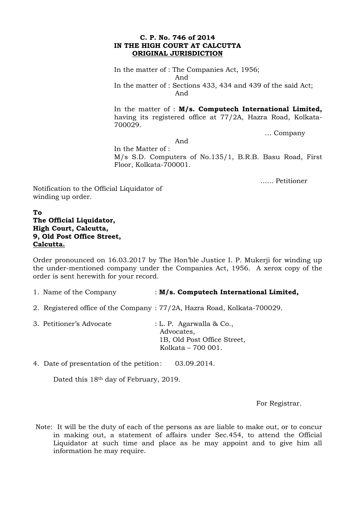## **C. P. No. 746 of 2014 IN THE HIGH COURT AT CALCUTTA ORIGINAL JURISDICTION**

In the matter of : The Companies Act, 1956; And In the matter of : Sections 433, 434 and 439 of the said Act; And

In the matter of : **M/s. Computech International Limited,**  having its registered office at 77/2A, Hazra Road, Kolkata-700029.

… Company

And

In the Matter of : M/s S.D. Computers of No.135/1, B.R.B. Basu Road, First Floor, Kolkata-700001.

...... Petitioner

Notification to the Official Liquidator of winding up order.

## **To The Official Liquidator, High Court, Calcutta, 9, Old Post Office Street, Calcutta.**

Order pronounced on 16.03.2017 by The Hon'ble Justice I. P. Mukerji for winding up the under-mentioned company under the Companies Act, 1956. A xerox copy of the order is sent herewith for your record.

- 1. Name of the Company : **M/s. Computech International Limited,**
- 2. Registered office of the Company : 77/2A, Hazra Road, Kolkata-700029.
- 3. Petitioner's Advocate : L. P. Agarwalla & Co., Advocates, 1B, Old Post Office Street, Kolkata – 700 001.

4. Date of presentation of the petition: 03.09.2014.

Dated this 18th day of February, 2019.

For Registrar.

Note: It will be the duty of each of the persons as are liable to make out, or to concur in making out, a statement of affairs under Sec.454, to attend the Official Liquidator at such time and place as he may appoint and to give him all information he may require.